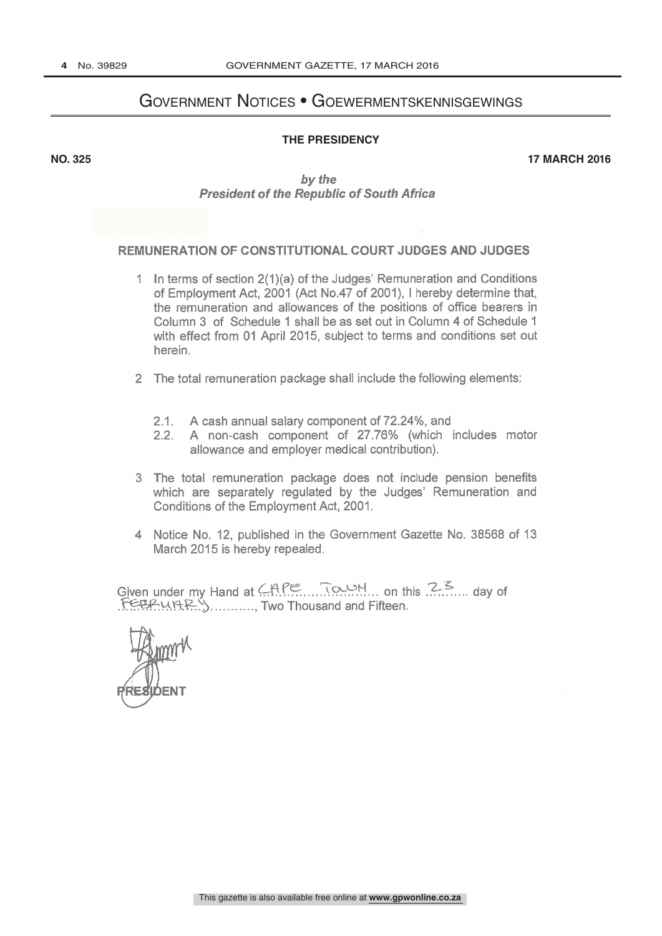## Government Notices • Goewermentskennisgewings

## **THE PRESIDENCY**

**NO. 325 17 MARCH 2016**

by the President of the Republic of South Africa

## REMUNERATION OF CONSTITUTIONAL COURT JUDGES AND JUDGES

- 1 In terms of section 2(1)(a) of the Judges' Remuneration and Conditions of Employment Act, 2001 (Act No.47 of 2001), I hereby determine that, the remuneration and allowances of the positions of office bearers in Column 3 of Schedule 1 shall be as set out in Column 4 of Schedule <sup>1</sup> with effect from 01 April 2015, subject to terms and conditions set out herein.
- 2 The total remuneration package shall include the following elements:
	- 2.1. A cash annual salary component of 72.24%, and
	- 2.2. A non-cash component of 27.76% (which includes motor allowance and employer medical contribution).
- 3 The total remuneration package does not include pension benefits which are separately regulated by the Judges' Remuneration and Conditions of the Employment Act, 2001.
- 4 Notice No. 12, published in the Government Gazette No. 38568 of 13 March 2015 is hereby repealed.

Given under my Hand at  $\angle APE$  Town, on this  $2.5$  day of Given under my<br>FELRUARY<br>Model , Two Thousand and Fifteen.